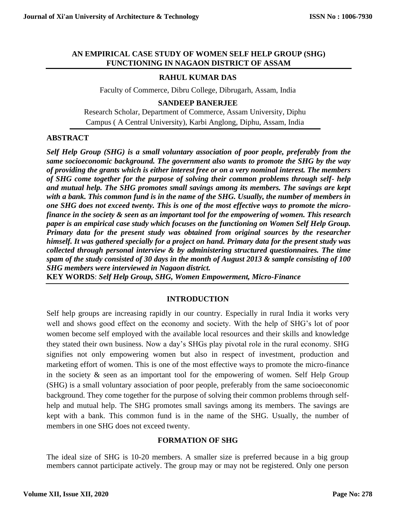### **AN EMPIRICAL CASE STUDY OF WOMEN SELF HELP GROUP (SHG) FUNCTIONING IN NAGAON DISTRICT OF ASSAM**

# **RAHUL KUMAR DAS**

Faculty of Commerce, Dibru College, Dibrugarh, Assam, India

**SANDEEP BANERJEE**

Research Scholar, Department of Commerce, Assam University, Diphu Campus ( A Central University), Karbi Anglong, Diphu, Assam, India

# **ABSTRACT**

*Self Help Group (SHG) is a small voluntary association of poor people, preferably from the same socioeconomic background. The government also wants to promote the SHG by the way of providing the grants which is either interest free or on a very nominal interest. The members of SHG come together for the purpose of solving their common problems through self- help and mutual help. The SHG promotes small savings among its members. The savings are kept with a bank. This common fund is in the name of the SHG. Usually, the number of members in one SHG does not exceed twenty. This is one of the most effective ways to promote the microfinance in the society & seen as an important tool for the empowering of women. This research paper is an empirical case study which focuses on the functioning on Women Self Help Group. Primary data for the present study was obtained from original sources by the researcher himself. It was gathered specially for a project on hand. Primary data for the present study was collected through personal interview & by administering structured questionnaires. The time spam of the study consisted of 30 days in the month of August 2013 & sample consisting of 100 SHG members were interviewed in Nagaon district.*

**KEY WORDS**: *Self Help Group, SHG, Women Empowerment, Micro-Finance*

# **INTRODUCTION**

Self help groups are increasing rapidly in our country. Especially in rural India it works very well and shows good effect on the economy and society. With the help of SHG's lot of poor women become self employed with the available local resources and their skills and knowledge they stated their own business. Now a day's SHGs play pivotal role in the rural economy. SHG signifies not only empowering women but also in respect of investment, production and marketing effort of women. This is one of the most effective ways to promote the micro-finance in the society  $\&$  seen as an important tool for the empowering of women. Self Help Group (SHG) is a small voluntary association of poor people, preferably from the same socioeconomic background. They come together for the purpose of solving their common problems through selfhelp and mutual help. The SHG promotes small savings among its members. The savings are kept with a bank. This common fund is in the name of the SHG. Usually, the number of members in one SHG does not exceed twenty.

# **FORMATION OF SHG**

The ideal size of SHG is 10-20 members. A smaller size is preferred because in a big group members cannot participate actively. The group may or may not be registered. Only one person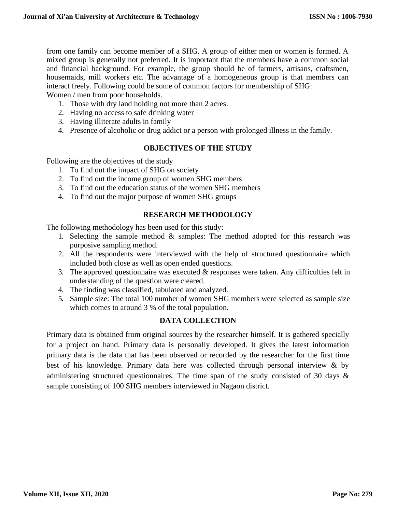from one family can become member of a SHG. A group of either men or women is formed. A mixed group is generally not preferred. It is important that the members have a common social and financial background. For example, the group should be of farmers, artisans, craftsmen, housemaids, mill workers etc. The advantage of a homogeneous group is that members can interact freely. Following could be some of common factors for membership of SHG: Women / men from poor households.

- 1. Those with dry land holding not more than 2 acres.
- 2. Having no access to safe drinking water
- 3. Having illiterate adults in family
- 4. Presence of alcoholic or drug addict or a person with prolonged illness in the family.

# **OBJECTIVES OF THE STUDY**

Following are the objectives of the study

- 1. To find out the impact of SHG on society
- 2. To find out the income group of women SHG members
- 3. To find out the education status of the women SHG members
- 4. To find out the major purpose of women SHG groups

# **RESEARCH METHODOLOGY**

The following methodology has been used for this study:

- 1. Selecting the sample method  $\&$  samples: The method adopted for this research was purposive sampling method.
- 2. All the respondents were interviewed with the help of structured questionnaire which included both close as well as open ended questions.
- 3. The approved questionnaire was executed  $&$  responses were taken. Any difficulties felt in understanding of the question were cleared.
- 4. The finding was classified, tabulated and analyzed.
- 5. Sample size: The total 100 number of women SHG members were selected as sample size which comes to around 3 % of the total population.

# **DATA COLLECTION**

Primary data is obtained from original sources by the researcher himself. It is gathered specially for a project on hand. Primary data is personally developed. It gives the latest information primary data is the data that has been observed or recorded by the researcher for the first time best of his knowledge. Primary data here was collected through personal interview & by administering structured questionnaires. The time span of the study consisted of 30 days & sample consisting of 100 SHG members interviewed in Nagaon district.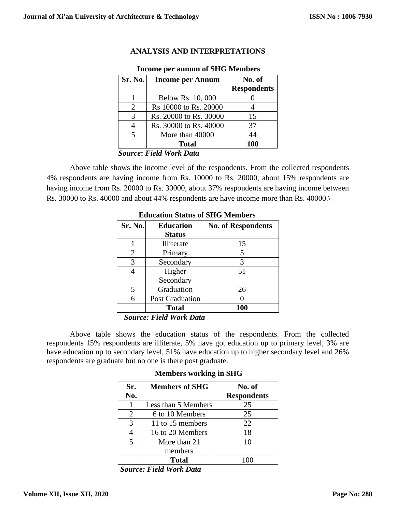| Sr. No.               | <b>Income per Annum</b> | No. of<br><b>Respondents</b> |
|-----------------------|-------------------------|------------------------------|
|                       | Below Rs. 10, 000       |                              |
| $\mathcal{D}_{\cdot}$ | Rs 10000 to Rs. 20000   |                              |
| $\mathcal{R}$         | Rs. 20000 to Rs. 30000  | 15                           |
|                       | Rs. 30000 to Rs. 40000  | 37                           |
| 5                     | More than 40000         | 44                           |
|                       | Total                   | 100                          |

# **ANALYSIS AND INTERPRETATIONS Income per annum of SHG Members**

 *Source***:** *Field Work Data*

Above table shows the income level of the respondents. From the collected respondents 4% respondents are having income from Rs. 10000 to Rs. 20000, about 15% respondents are having income from Rs. 20000 to Rs. 30000, about 37% respondents are having income between Rs. 30000 to Rs. 40000 and about 44% respondents are have income more than Rs. 40000.\

| Sr. No. | <b>Education</b><br><b>Status</b> | <b>No. of Respondents</b> |
|---------|-----------------------------------|---------------------------|
|         | Illiterate                        | 15                        |
| 2       | Primary                           | 5                         |
| 3       | Secondary                         | 3                         |
|         | Higher                            | 51                        |
|         | Secondary                         |                           |
| 5       | Graduation                        | 26                        |
| 6       | <b>Post Graduation</b>            |                           |
|         | <b>Total</b>                      | 100                       |

**Education Status of SHG Members**

 *Source: Field Work Data*

Above table shows the education status of the respondents. From the collected respondents 15% respondents are illiterate, 5% have got education up to primary level, 3% are have education up to secondary level, 51% have education up to higher secondary level and 26% respondents are graduate but no one is there post graduate.

| <b>Members working in SHG</b> |  |  |  |
|-------------------------------|--|--|--|
|-------------------------------|--|--|--|

| Sr.<br>No.              | <b>Members of SHG</b> | No. of<br><b>Respondents</b> |
|-------------------------|-----------------------|------------------------------|
|                         | Less than 5 Members   | 25                           |
| 2                       | 6 to 10 Members       | 25                           |
| $\mathcal{R}$           | 11 to 15 members      | 22                           |
|                         | 16 to 20 Members      | 18                           |
| $\overline{\mathbf{5}}$ | More than 21          | 10                           |
|                         | members               |                              |
|                         | Total                 |                              |

*Source: Field Work Data*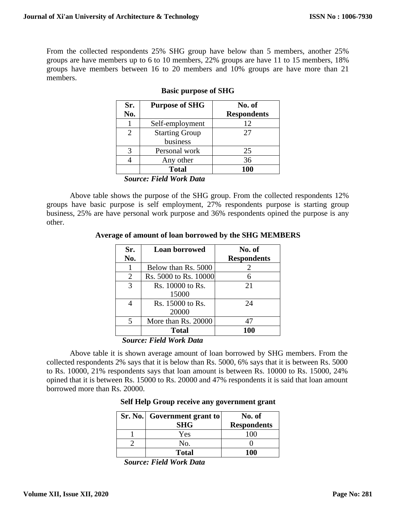From the collected respondents 25% SHG group have below than 5 members, another 25% groups are have members up to 6 to 10 members, 22% groups are have 11 to 15 members, 18% groups have members between 16 to 20 members and 10% groups are have more than 21 members.

| Sr.            | <b>Purpose of SHG</b> | No. of             |
|----------------|-----------------------|--------------------|
| No.            |                       | <b>Respondents</b> |
|                | Self-employment       | 12                 |
| $\mathfrak{D}$ | <b>Starting Group</b> | 27                 |
|                | business              |                    |
| 3              | Personal work         | 25                 |
|                | Any other             | 36                 |
|                | <b>Total</b>          | 100                |

### **Basic purpose of SHG**

 *Source: Field Work Data*

Above table shows the purpose of the SHG group. From the collected respondents 12% groups have basic purpose is self employment, 27% respondents purpose is starting group business, 25% are have personal work purpose and 36% respondents opined the purpose is any other.

**Average of amount of loan borrowed by the SHG MEMBERS**

| Sr. | <b>Loan borrowed</b>   | No. of             |
|-----|------------------------|--------------------|
| No. |                        | <b>Respondents</b> |
|     | Below than Rs. 5000    | 2                  |
| 2   | Rs. 5000 to Rs. 10000  | 6                  |
| 3   | Rs. 10000 to Rs.       | 21                 |
|     | 15000                  |                    |
| 4   | Rs. 15000 to Rs.       | 24                 |
|     | 20000                  |                    |
| 5   | More than Rs. 20000    | 47                 |
|     | <b>Total</b>           | <b>100</b>         |
|     | Course Eisld Work Data |                    |

 *Source: Field Work Data*

Above table it is shown average amount of loan borrowed by SHG members. From the collected respondents 2% says that it is below than Rs. 5000, 6% says that it is between Rs. 5000 to Rs. 10000, 21% respondents says that loan amount is between Rs. 10000 to Rs. 15000, 24% opined that it is between Rs. 15000 to Rs. 20000 and 47% respondents it is said that loan amount borrowed more than Rs. 20000.

|  |  |  |  | Self Help Group receive any government grant |  |
|--|--|--|--|----------------------------------------------|--|
|--|--|--|--|----------------------------------------------|--|

| Sr. No. Government grant to | No. of             |
|-----------------------------|--------------------|
| <b>SHG</b>                  | <b>Respondents</b> |
| Yes                         | 100                |
| No.                         |                    |
| <b>Total</b>                | 100                |

 *Source: Field Work Data*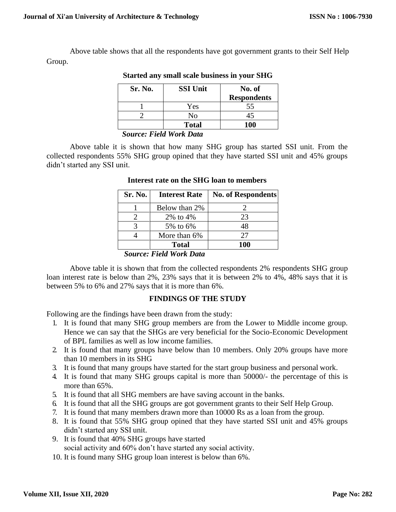Above table shows that all the respondents have got government grants to their Self Help Group.

| Sr. No. | <b>SSI Unit</b> | No. of<br><b>Respondents</b> |
|---------|-----------------|------------------------------|
|         | Yes             | 55                           |
|         | No              |                              |
|         | <b>Total</b>    | 100                          |

### **Started any small scale business in your SHG**

 *Source: Field Work Data*

Above table it is shown that how many SHG group has started SSI unit. From the collected respondents 55% SHG group opined that they have started SSI unit and 45% groups didn't started any SSI unit.

| Sr. No. | <b>Interest Rate</b> | <b>No. of Respondents</b> |
|---------|----------------------|---------------------------|
|         | Below than 2%        |                           |
|         | 2% to 4%             | 23                        |
|         | 5% to 6%             | 48                        |
|         | More than 6%         | 27                        |
|         | Total                | 100                       |

### **Interest rate on the SHG loan to members**

### *Source: Field Work Data*

Above table it is shown that from the collected respondents 2% respondents SHG group loan interest rate is below than 2%, 23% says that it is between 2% to 4%, 48% says that it is between 5% to 6% and 27% says that it is more than 6%.

# **FINDINGS OF THE STUDY**

Following are the findings have been drawn from the study:

- 1. It is found that many SHG group members are from the Lower to Middle income group. Hence we can say that the SHGs are very beneficial for the Socio-Economic Development of BPL families as well as low income families.
- 2. It is found that many groups have below than 10 members. Only 20% groups have more than 10 members in its SHG
- 3. It is found that many groups have started for the start group business and personal work.
- 4. It is found that many SHG groups capital is more than 50000/- the percentage of this is more than 65%.
- 5. It is found that all SHG members are have saving account in the banks.
- 6. It is found that all the SHG groups are got government grants to their Self Help Group.
- 7. It is found that many members drawn more than 10000 Rs as a loan from the group.
- 8. It is found that 55% SHG group opined that they have started SSI unit and 45% groups didn't started any SSI unit.
- 9. It is found that 40% SHG groups have started social activity and 60% don't have started any social activity.
- 10. It is found many SHG group loan interest is below than 6%.